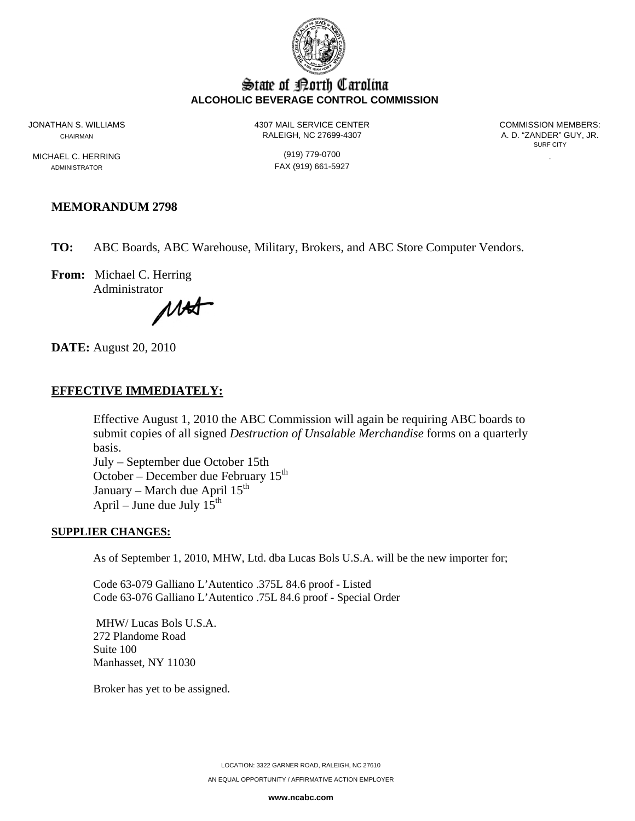

# State of Borth Carolina **ALCOHOLIC BEVERAGE CONTROL COMMISSION**

MICHAEL C. HERRING (919) 779-0700

JONATHAN S. WILLIAMS 4307 MAIL SERVICE CENTER COMMISSION MEMBERS: CHAIRMAN CHAIRMAN RALEIGH, NC 27699-4307

SURF CITY

ADMINISTRATOR FAX (919) 661-5927

# **MEMORANDUM 2798**

**TO:** ABC Boards, ABC Warehouse, Military, Brokers, and ABC Store Computer Vendors.

**From:** Michael C. Herring Administrator

MAS

**DATE:** August 20, 2010

## **EFFECTIVE IMMEDIATELY:**

Effective August 1, 2010 the ABC Commission will again be requiring ABC boards to submit copies of all signed *Destruction of Unsalable Merchandise* forms on a quarterly basis.

July – September due October 15th October – December due February  $15<sup>th</sup>$ January – March due April  $15<sup>th</sup>$ April – June due July  $15^{th}$ 

### **SUPPLIER CHANGES:**

As of September 1, 2010, MHW, Ltd. dba Lucas Bols U.S.A. will be the new importer for;

Code 63-079 Galliano L'Autentico .375L 84.6 proof - Listed Code 63-076 Galliano L'Autentico .75L 84.6 proof - Special Order

 MHW/ Lucas Bols U.S.A. 272 Plandome Road Suite 100 Manhasset, NY 11030

Broker has yet to be assigned.

LOCATION: 3322 GARNER ROAD, RALEIGH, NC 27610 AN EQUAL OPPORTUNITY / AFFIRMATIVE ACTION EMPLOYER

**www.ncabc.com**